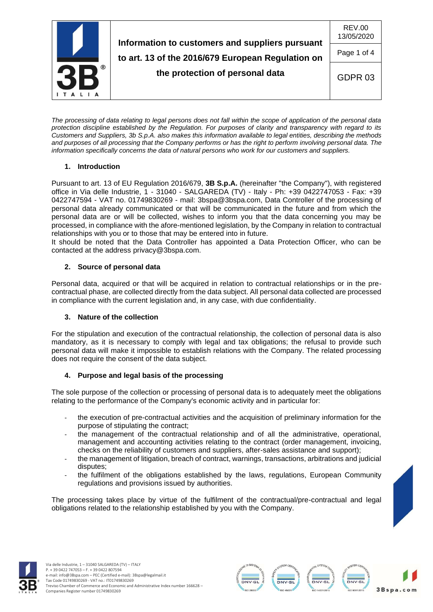

*The processing of data relating to legal persons does not fall within the scope of application of the personal data protection discipline established by the Regulation. For purposes of clarity and transparency with regard to its Customers and Suppliers, 3b S.p.A. also makes this information available to legal entities, describing the methods and purposes of all processing that the Company performs or has the right to perform involving personal data. The information specifically concerns the data of natural persons who work for our customers and suppliers.*

## **1. Introduction**

Pursuant to art. 13 of EU Regulation 2016/679, **3B S.p.A.** (hereinafter "the Company"), with registered office in Via delle Industrie, 1 - 31040 - SALGAREDA (TV) - Italy - Ph: +39 0422747053 - Fax: +39 0422747594 - VAT no. 01749830269 - mail: [3bspa@3bspa.com,](mailto:3bspa@3bspa.com) Data Controller of the processing of personal data already communicated or that will be communicated in the future and from which the personal data are or will be collected, wishes to inform you that the data concerning you may be processed, in compliance with the afore-mentioned legislation, by the Company in relation to contractual relationships with you or to those that may be entered into in future.

It should be noted that the Data Controller has appointed a Data Protection Officer, who can be contacted at the address [privacy@3bspa.com.](mailto:privacy@3bspa.com)

## **2. Source of personal data**

Personal data, acquired or that will be acquired in relation to contractual relationships or in the precontractual phase, are collected directly from the data subject. All personal data collected are processed in compliance with the current legislation and, in any case, with due confidentiality.

### **3. Nature of the collection**

For the stipulation and execution of the contractual relationship, the collection of personal data is also mandatory, as it is necessary to comply with legal and tax obligations; the refusal to provide such personal data will make it impossible to establish relations with the Company. The related processing does not require the consent of the data subject.

# **4. Purpose and legal basis of the processing**

The sole purpose of the collection or processing of personal data is to adequately meet the obligations relating to the performance of the Company's economic activity and in particular for:

- the execution of pre-contractual activities and the acquisition of preliminary information for the purpose of stipulating the contract;
- the management of the contractual relationship and of all the administrative, operational, management and accounting activities relating to the contract (order management, invoicing, checks on the reliability of customers and suppliers, after-sales assistance and support);
- the management of litigation, breach of contract, warnings, transactions, arbitrations and judicial disputes;
- the fulfilment of the obligations established by the laws, regulations, European Community regulations and provisions issued by authorities.

The processing takes place by virtue of the fulfilment of the contractual/pre-contractual and legal obligations related to the relationship established by you with the Company.



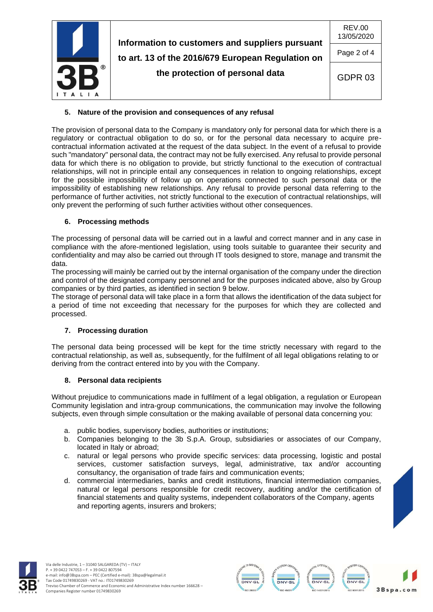

# **5. Nature of the provision and consequences of any refusal**

The provision of personal data to the Company is mandatory only for personal data for which there is a regulatory or contractual obligation to do so, or for the personal data necessary to acquire precontractual information activated at the request of the data subject. In the event of a refusal to provide such "mandatory" personal data, the contract may not be fully exercised. Any refusal to provide personal data for which there is no obligation to provide, but strictly functional to the execution of contractual relationships, will not in principle entail any consequences in relation to ongoing relationships, except for the possible impossibility of follow up on operations connected to such personal data or the impossibility of establishing new relationships. Any refusal to provide personal data referring to the performance of further activities, not strictly functional to the execution of contractual relationships, will only prevent the performing of such further activities without other consequences.

### **6. Processing methods**

The processing of personal data will be carried out in a lawful and correct manner and in any case in compliance with the afore-mentioned legislation, using tools suitable to guarantee their security and confidentiality and may also be carried out through IT tools designed to store, manage and transmit the data.

The processing will mainly be carried out by the internal organisation of the company under the direction and control of the designated company personnel and for the purposes indicated above, also by Group companies or by third parties, as identified in section 9 below.

The storage of personal data will take place in a form that allows the identification of the data subject for a period of time not exceeding that necessary for the purposes for which they are collected and processed.

### **7. Processing duration**

The personal data being processed will be kept for the time strictly necessary with regard to the contractual relationship, as well as, subsequently, for the fulfilment of all legal obligations relating to or deriving from the contract entered into by you with the Company.

### **8. Personal data recipients**

Without prejudice to communications made in fulfilment of a legal obligation, a regulation or European Community legislation and intra-group communications, the communication may involve the following subjects, even through simple consultation or the making available of personal data concerning you:

- a. public bodies, supervisory bodies, authorities or institutions;
- b. Companies belonging to the 3b S.p.A. Group, subsidiaries or associates of our Company, located in Italy or abroad;
- c. natural or legal persons who provide specific services: data processing, logistic and postal services, customer satisfaction surveys, legal, administrative, tax and/or accounting consultancy, the organisation of trade fairs and communication events;
- d. commercial intermediaries, banks and credit institutions, financial intermediation companies, natural or legal persons responsible for credit recovery, auditing and/or the certification of financial statements and quality systems, independent collaborators of the Company, agents and reporting agents, insurers and brokers;